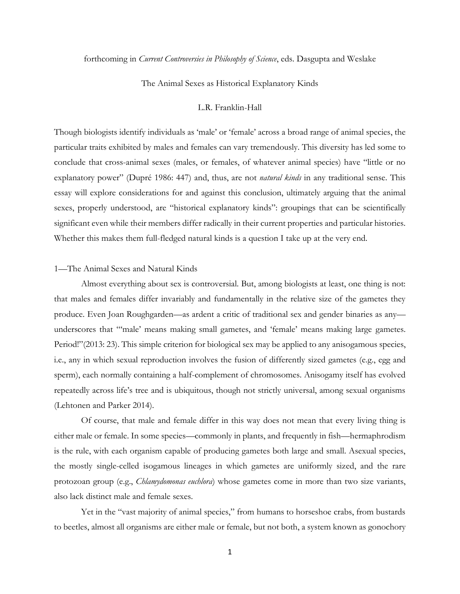### forthcoming in *Current Controversies in Philosophy of Science*, eds. Dasgupta and Weslake

The Animal Sexes as Historical Explanatory Kinds

# L.R. Franklin-Hall

Though biologists identify individuals as 'male' or 'female' across a broad range of animal species, the particular traits exhibited by males and females can vary tremendously. This diversity has led some to conclude that cross-animal sexes (males, or females, of whatever animal species) have "little or no explanatory power" (Dupré 1986: 447) and, thus, are not *natural kinds* in any traditional sense. This essay will explore considerations for and against this conclusion, ultimately arguing that the animal sexes, properly understood, are "historical explanatory kinds": groupings that can be scientifically significant even while their members differ radically in their current properties and particular histories. Whether this makes them full-fledged natural kinds is a question I take up at the very end.

#### 1—The Animal Sexes and Natural Kinds

Almost everything about sex is controversial. But, among biologists at least, one thing is not: that males and females differ invariably and fundamentally in the relative size of the gametes they produce. Even Joan Roughgarden—as ardent a critic of traditional sex and gender binaries as any underscores that "'male' means making small gametes, and 'female' means making large gametes. Period!"(2013: 23). This simple criterion for biological sex may be applied to any anisogamous species, i.e., any in which sexual reproduction involves the fusion of differently sized gametes (e.g., egg and sperm), each normally containing a half-complement of chromosomes. Anisogamy itself has evolved repeatedly across life's tree and is ubiquitous, though not strictly universal, among sexual organisms (Lehtonen and Parker 2014).

Of course, that male and female differ in this way does not mean that every living thing is either male or female. In some species—commonly in plants, and frequently in fish—hermaphrodism is the rule, with each organism capable of producing gametes both large and small. Asexual species, the mostly single-celled isogamous lineages in which gametes are uniformly sized, and the rare protozoan group (e.g., *Chlamydomonas euchlora*) whose gametes come in more than two size variants, also lack distinct male and female sexes.

Yet in the "vast majority of animal species," from humans to horseshoe crabs, from bustards to beetles, almost all organisms are either male or female, but not both, a system known as gonochory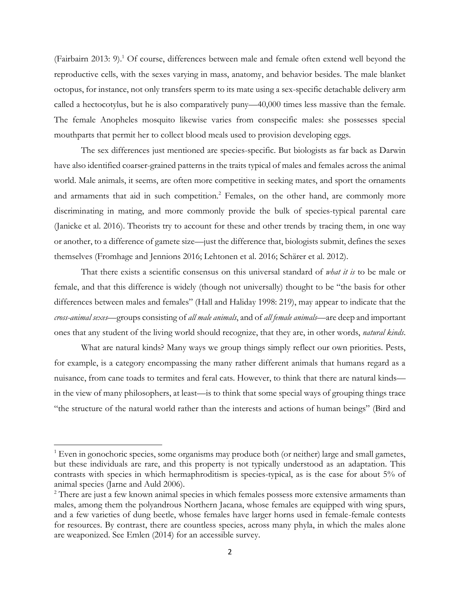(Fairbairn 2013: 9). <sup>1</sup> Of course, differences between male and female often extend well beyond the reproductive cells, with the sexes varying in mass, anatomy, and behavior besides. The male blanket octopus, for instance, not only transfers sperm to its mate using a sex-specific detachable delivery arm called a hectocotylus, but he is also comparatively puny—40,000 times less massive than the female. The female Anopheles mosquito likewise varies from conspecific males: she possesses special mouthparts that permit her to collect blood meals used to provision developing eggs.

The sex differences just mentioned are species-specific. But biologists as far back as Darwin have also identified coarser-grained patterns in the traits typical of males and females across the animal world. Male animals, it seems, are often more competitive in seeking mates, and sport the ornaments and armaments that aid in such competition.<sup>2</sup> Females, on the other hand, are commonly more discriminating in mating, and more commonly provide the bulk of species-typical parental care (Janicke et al. 2016). Theorists try to account for these and other trends by tracing them, in one way or another, to a difference of gamete size—just the difference that, biologists submit, defines the sexes themselves (Fromhage and Jennions 2016; Lehtonen et al. 2016; Schärer et al. 2012).

That there exists a scientific consensus on this universal standard of *what it is* to be male or female, and that this difference is widely (though not universally) thought to be "the basis for other differences between males and females" (Hall and Haliday 1998: 219), may appear to indicate that the *cross-animal sexes—*groups consisting of *all male animals*, and of *all female animals—*are deep and important ones that any student of the living world should recognize, that they are, in other words, *natural kinds*.

What are natural kinds? Many ways we group things simply reflect our own priorities. Pests, for example, is a category encompassing the many rather different animals that humans regard as a nuisance, from cane toads to termites and feral cats. However, to think that there are natural kinds in the view of many philosophers, at least—is to think that some special ways of grouping things trace "the structure of the natural world rather than the interests and actions of human beings" (Bird and

 $1$  Even in gonochoric species, some organisms may produce both (or neither) large and small gametes, but these individuals are rare, and this property is not typically understood as an adaptation. This contrasts with species in which hermaphroditism is species-typical, as is the case for about 5% of animal species (Jarne and Auld 2006).

<sup>&</sup>lt;sup>2</sup> There are just a few known animal species in which females possess more extensive armaments than males, among them the polyandrous Northern Jacana, whose females are equipped with wing spurs, and a few varieties of dung beetle, whose females have larger horns used in female-female contests for resources. By contrast, there are countless species, across many phyla, in which the males alone are weaponized. See Emlen (2014) for an accessible survey.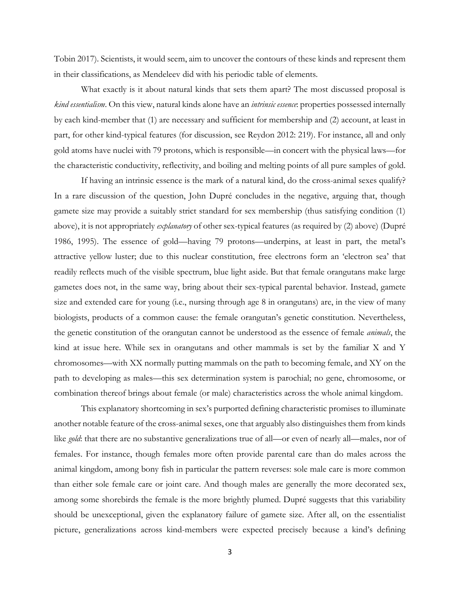Tobin 2017). Scientists, it would seem, aim to uncover the contours of these kinds and represent them in their classifications, as Mendeleev did with his periodic table of elements.

What exactly is it about natural kinds that sets them apart? The most discussed proposal is *kind essentialism*. On this view, natural kinds alone have an *intrinsic essence*: properties possessed internally by each kind-member that (1) are necessary and sufficient for membership and (2) account, at least in part, for other kind-typical features (for discussion, see Reydon 2012: 219). For instance, all and only gold atoms have nuclei with 79 protons, which is responsible—in concert with the physical laws—for the characteristic conductivity, reflectivity, and boiling and melting points of all pure samples of gold.

If having an intrinsic essence is the mark of a natural kind, do the cross-animal sexes qualify? In a rare discussion of the question, John Dupré concludes in the negative, arguing that, though gamete size may provide a suitably strict standard for sex membership (thus satisfying condition (1) above), it is not appropriately *explanatory* of other sex-typical features (as required by (2) above) (Dupré 1986, 1995). The essence of gold—having 79 protons—underpins, at least in part, the metal's attractive yellow luster; due to this nuclear constitution, free electrons form an 'electron sea' that readily reflects much of the visible spectrum, blue light aside. But that female orangutans make large gametes does not, in the same way, bring about their sex-typical parental behavior. Instead, gamete size and extended care for young (i.e., nursing through age 8 in orangutans) are, in the view of many biologists, products of a common cause: the female orangutan's genetic constitution. Nevertheless, the genetic constitution of the orangutan cannot be understood as the essence of female *animals*, the kind at issue here. While sex in orangutans and other mammals is set by the familiar X and Y chromosomes—with XX normally putting mammals on the path to becoming female, and XY on the path to developing as males—this sex determination system is parochial; no gene, chromosome, or combination thereof brings about female (or male) characteristics across the whole animal kingdom.

This explanatory shortcoming in sex's purported defining characteristic promises to illuminate another notable feature of the cross-animal sexes, one that arguably also distinguishes them from kinds like *gold*: that there are no substantive generalizations true of all—or even of nearly all—males, nor of females. For instance, though females more often provide parental care than do males across the animal kingdom, among bony fish in particular the pattern reverses: sole male care is more common than either sole female care or joint care. And though males are generally the more decorated sex, among some shorebirds the female is the more brightly plumed. Dupré suggests that this variability should be unexceptional, given the explanatory failure of gamete size. After all, on the essentialist picture, generalizations across kind-members were expected precisely because a kind's defining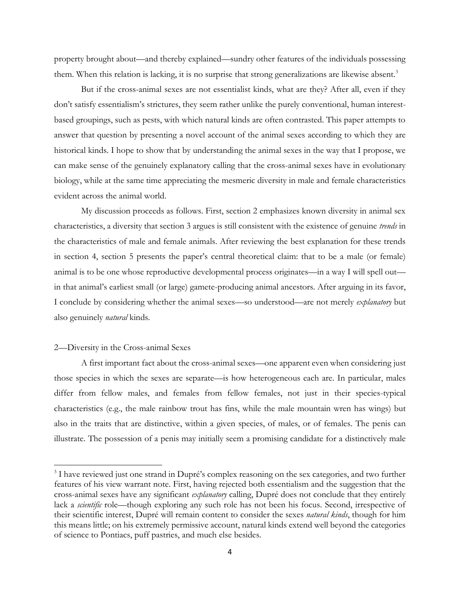property brought about—and thereby explained—sundry other features of the individuals possessing them. When this relation is lacking, it is no surprise that strong generalizations are likewise absent.<sup>3</sup>

But if the cross-animal sexes are not essentialist kinds, what are they? After all, even if they don't satisfy essentialism's strictures, they seem rather unlike the purely conventional, human interestbased groupings, such as pests, with which natural kinds are often contrasted. This paper attempts to answer that question by presenting a novel account of the animal sexes according to which they are historical kinds. I hope to show that by understanding the animal sexes in the way that I propose, we can make sense of the genuinely explanatory calling that the cross-animal sexes have in evolutionary biology, while at the same time appreciating the mesmeric diversity in male and female characteristics evident across the animal world.

My discussion proceeds as follows. First, section 2 emphasizes known diversity in animal sex characteristics, a diversity that section 3 argues is still consistent with the existence of genuine *trends* in the characteristics of male and female animals. After reviewing the best explanation for these trends in section 4, section 5 presents the paper's central theoretical claim: that to be a male (or female) animal is to be one whose reproductive developmental process originates—in a way I will spell out in that animal's earliest small (or large) gamete-producing animal ancestors. After arguing in its favor, I conclude by considering whether the animal sexes—so understood—are not merely *explanatory* but also genuinely *natural* kinds.

## 2—Diversity in the Cross-animal Sexes

 $\overline{\phantom{a}}$ 

A first important fact about the cross-animal sexes—one apparent even when considering just those species in which the sexes are separate—is how heterogeneous each are. In particular, males differ from fellow males, and females from fellow females, not just in their species-typical characteristics (e.g., the male rainbow trout has fins, while the male mountain wren has wings) but also in the traits that are distinctive, within a given species, of males, or of females. The penis can illustrate. The possession of a penis may initially seem a promising candidate for a distinctively male

<sup>&</sup>lt;sup>3</sup> I have reviewed just one strand in Dupré's complex reasoning on the sex categories, and two further features of his view warrant note. First, having rejected both essentialism and the suggestion that the cross-animal sexes have any significant *explanatory* calling, Dupré does not conclude that they entirely lack a *scientific* role—though exploring any such role has not been his focus. Second, irrespective of their scientific interest, Dupré will remain content to consider the sexes *natural kinds*, though for him this means little; on his extremely permissive account, natural kinds extend well beyond the categories of science to Pontiacs, puff pastries, and much else besides.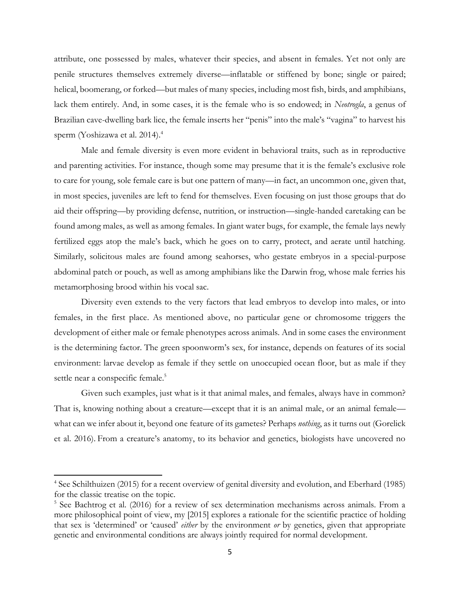attribute, one possessed by males, whatever their species, and absent in females. Yet not only are penile structures themselves extremely diverse—inflatable or stiffened by bone; single or paired; helical, boomerang, or forked—but males of many species, including most fish, birds, and amphibians, lack them entirely. And, in some cases, it is the female who is so endowed; in *Neotrogla*, a genus of Brazilian cave-dwelling bark lice, the female inserts her "penis" into the male's "vagina" to harvest his sperm (Yoshizawa et al. 2014). 4

Male and female diversity is even more evident in behavioral traits, such as in reproductive and parenting activities. For instance, though some may presume that it is the female's exclusive role to care for young, sole female care is but one pattern of many—in fact, an uncommon one, given that, in most species, juveniles are left to fend for themselves. Even focusing on just those groups that do aid their offspring—by providing defense, nutrition, or instruction—single-handed caretaking can be found among males, as well as among females. In giant water bugs, for example, the female lays newly fertilized eggs atop the male's back, which he goes on to carry, protect, and aerate until hatching. Similarly, solicitous males are found among seahorses, who gestate embryos in a special-purpose abdominal patch or pouch, as well as among amphibians like the Darwin frog, whose male ferries his metamorphosing brood within his vocal sac.

Diversity even extends to the very factors that lead embryos to develop into males, or into females, in the first place. As mentioned above, no particular gene or chromosome triggers the development of either male or female phenotypes across animals. And in some cases the environment is the determining factor. The green spoonworm's sex, for instance, depends on features of its social environment: larvae develop as female if they settle on unoccupied ocean floor, but as male if they settle near a conspecific female.<sup>5</sup>

Given such examples, just what is it that animal males, and females, always have in common? That is, knowing nothing about a creature—except that it is an animal male, or an animal female what can we infer about it, beyond one feature of its gametes? Perhaps *nothing*, as it turns out (Gorelick et al. 2016). From a creature's anatomy, to its behavior and genetics, biologists have uncovered no

<sup>4</sup> See Schilthuizen (2015) for a recent overview of genital diversity and evolution, and Eberhard (1985) for the classic treatise on the topic.

<sup>&</sup>lt;sup>5</sup> See Bachtrog et al. (2016) for a review of sex determination mechanisms across animals. From a more philosophical point of view, my [2015] explores a rationale for the scientific practice of holding that sex is 'determined' or 'caused' *either* by the environment *or* by genetics, given that appropriate genetic and environmental conditions are always jointly required for normal development.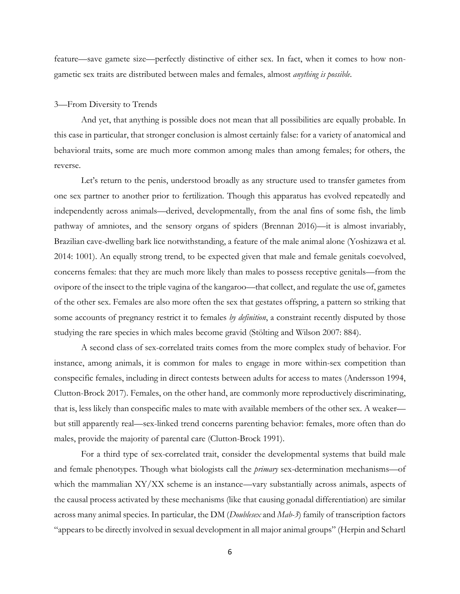feature—save gamete size—perfectly distinctive of either sex. In fact, when it comes to how nongametic sex traits are distributed between males and females, almost *anything is possible*.

#### 3—From Diversity to Trends

And yet, that anything is possible does not mean that all possibilities are equally probable. In this case in particular, that stronger conclusion is almost certainly false: for a variety of anatomical and behavioral traits, some are much more common among males than among females; for others, the reverse.

Let's return to the penis, understood broadly as any structure used to transfer gametes from one sex partner to another prior to fertilization. Though this apparatus has evolved repeatedly and independently across animals—derived, developmentally, from the anal fins of some fish, the limb pathway of amniotes, and the sensory organs of spiders (Brennan 2016)—it is almost invariably, Brazilian cave-dwelling bark lice notwithstanding, a feature of the male animal alone (Yoshizawa et al. 2014: 1001). An equally strong trend, to be expected given that male and female genitals coevolved, concerns females: that they are much more likely than males to possess receptive genitals—from the ovipore of the insect to the triple vagina of the kangaroo—that collect, and regulate the use of, gametes of the other sex. Females are also more often the sex that gestates offspring, a pattern so striking that some accounts of pregnancy restrict it to females *by definition*, a constraint recently disputed by those studying the rare species in which males become gravid (Stölting and Wilson 2007: 884).

A second class of sex-correlated traits comes from the more complex study of behavior. For instance, among animals, it is common for males to engage in more within-sex competition than conspecific females, including in direct contests between adults for access to mates (Andersson 1994, Clutton-Brock 2017). Females, on the other hand, are commonly more reproductively discriminating, that is, less likely than conspecific males to mate with available members of the other sex. A weaker but still apparently real—sex-linked trend concerns parenting behavior: females, more often than do males, provide the majority of parental care (Clutton-Brock 1991).

For a third type of sex-correlated trait, consider the developmental systems that build male and female phenotypes. Though what biologists call the *primary* sex-determination mechanisms—of which the mammalian  $XY/XX$  scheme is an instance—vary substantially across animals, aspects of the causal process activated by these mechanisms (like that causing gonadal differentiation) are similar across many animal species. In particular, the DM (*Doublesex* and *Mab-3*) family of transcription factors "appears to be directly involved in sexual development in all major animal groups" (Herpin and Schartl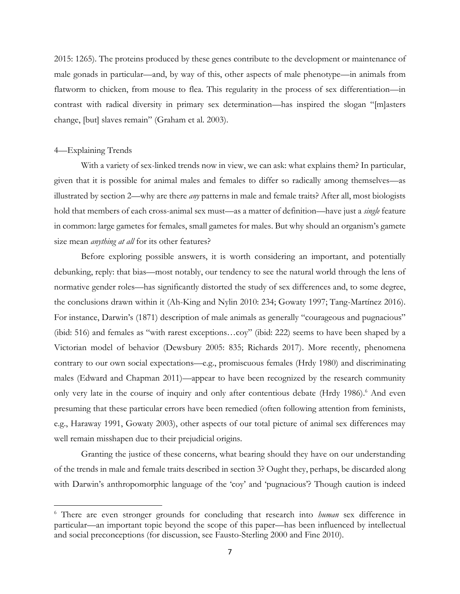2015: 1265). The proteins produced by these genes contribute to the development or maintenance of male gonads in particular—and, by way of this, other aspects of male phenotype—in animals from flatworm to chicken, from mouse to flea. This regularity in the process of sex differentiation—in contrast with radical diversity in primary sex determination—has inspired the slogan "[m]asters change, [but] slaves remain" (Graham et al. 2003).

## 4—Explaining Trends

 $\overline{\phantom{a}}$ 

With a variety of sex-linked trends now in view, we can ask: what explains them? In particular, given that it is possible for animal males and females to differ so radically among themselves—as illustrated by section 2—why are there *any* patterns in male and female traits? After all, most biologists hold that members of each cross-animal sex must—as a matter of definition—have just a *single* feature in common: large gametes for females, small gametes for males. But why should an organism's gamete size mean *anything at all* for its other features?

Before exploring possible answers, it is worth considering an important, and potentially debunking, reply: that bias—most notably, our tendency to see the natural world through the lens of normative gender roles—has significantly distorted the study of sex differences and, to some degree, the conclusions drawn within it (Ah-King and Nylin 2010: 234; Gowaty 1997; Tang-Martínez 2016). For instance, Darwin's (1871) description of male animals as generally "courageous and pugnacious" (ibid: 516) and females as "with rarest exceptions…coy" (ibid: 222) seems to have been shaped by a Victorian model of behavior (Dewsbury 2005: 835; Richards 2017). More recently, phenomena contrary to our own social expectations—e.g., promiscuous females (Hrdy 1980) and discriminating males (Edward and Chapman 2011)—appear to have been recognized by the research community only very late in the course of inquiry and only after contentious debate (Hrdy 1986). <sup>6</sup> And even presuming that these particular errors have been remedied (often following attention from feminists, e.g., Haraway 1991, Gowaty 2003), other aspects of our total picture of animal sex differences may well remain misshapen due to their prejudicial origins.

Granting the justice of these concerns, what bearing should they have on our understanding of the trends in male and female traits described in section 3? Ought they, perhaps, be discarded along with Darwin's anthropomorphic language of the 'coy' and 'pugnacious'? Though caution is indeed

<sup>6</sup> There are even stronger grounds for concluding that research into *human* sex difference in particular—an important topic beyond the scope of this paper—has been influenced by intellectual and social preconceptions (for discussion, see Fausto-Sterling 2000 and Fine 2010).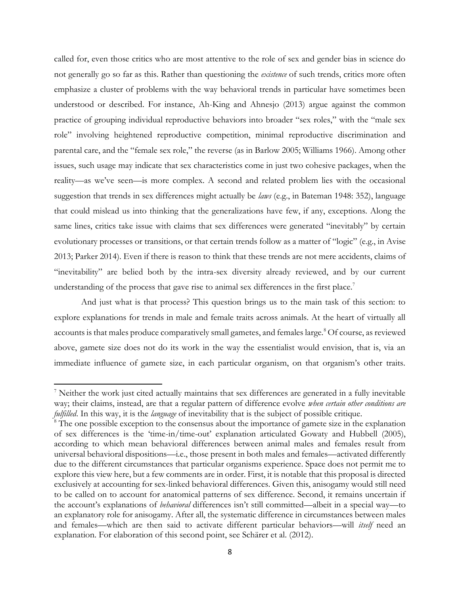called for, even those critics who are most attentive to the role of sex and gender bias in science do not generally go so far as this. Rather than questioning the *existence* of such trends, critics more often emphasize a cluster of problems with the way behavioral trends in particular have sometimes been understood or described. For instance, Ah-King and Ahnesjo (2013) argue against the common practice of grouping individual reproductive behaviors into broader "sex roles," with the "male sex role" involving heightened reproductive competition, minimal reproductive discrimination and parental care, and the "female sex role," the reverse (as in Barlow 2005; Williams 1966). Among other issues, such usage may indicate that sex characteristics come in just two cohesive packages, when the reality—as we've seen—is more complex. A second and related problem lies with the occasional suggestion that trends in sex differences might actually be *laws* (e.g., in Bateman 1948: 352), language that could mislead us into thinking that the generalizations have few, if any, exceptions. Along the same lines, critics take issue with claims that sex differences were generated "inevitably" by certain evolutionary processes or transitions, or that certain trends follow as a matter of "logic" (e.g., in Avise 2013; Parker 2014). Even if there is reason to think that these trends are not mere accidents, claims of "inevitability" are belied both by the intra-sex diversity already reviewed, and by our current understanding of the process that gave rise to animal sex differences in the first place.<sup>7</sup>

And just what is that process? This question brings us to the main task of this section: to explore explanations for trends in male and female traits across animals. At the heart of virtually all accounts is that males produce comparatively small gametes, and females large.<sup>8</sup> Of course, as reviewed above, gamete size does not do its work in the way the essentialist would envision, that is, via an immediate influence of gamete size, in each particular organism, on that organism's other traits.

<sup>7</sup> Neither the work just cited actually maintains that sex differences are generated in a fully inevitable way; their claims, instead, are that a regular pattern of difference evolve *when certain other conditions are fulfilled*. In this way, it is the *language* of inevitability that is the subject of possible critique.

<sup>&</sup>lt;sup>8</sup> The one possible exception to the consensus about the importance of gamete size in the explanation of sex differences is the 'time-in/time-out' explanation articulated Gowaty and Hubbell (2005), according to which mean behavioral differences between animal males and females result from universal behavioral dispositions—i.e., those present in both males and females—activated differently due to the different circumstances that particular organisms experience. Space does not permit me to explore this view here, but a few comments are in order. First, it is notable that this proposal is directed exclusively at accounting for sex-linked behavioral differences. Given this, anisogamy would still need to be called on to account for anatomical patterns of sex difference. Second, it remains uncertain if the account's explanations of *behavioral* differences isn't still committed—albeit in a special way—to an explanatory role for anisogamy. After all, the systematic difference in circumstances between males and females—which are then said to activate different particular behaviors—will *itself* need an explanation. For elaboration of this second point, see Schärer et al. (2012).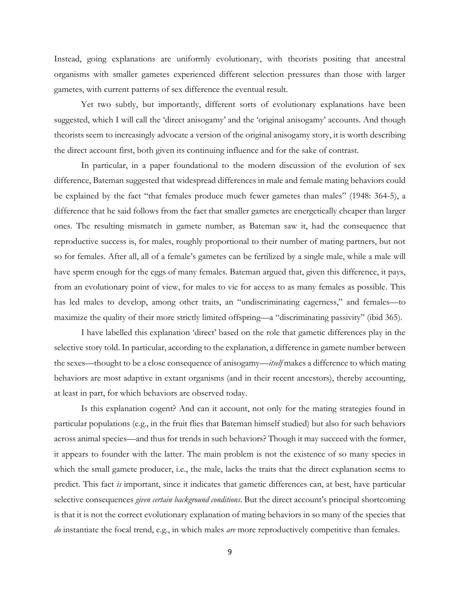Instead, going explanations are uniformly evolutionary, with theorists positing that ancestral organisms with smaller gametes experienced different selection pressures than those with larger gametes, with current patterns of sex difference the eventual result.

Yet two subtly, but importantly, different sorts of evolutionary explanations have been suggested, which I will call the 'direct anisogamy' and the 'original anisogamy' accounts. And though theorists seem to increasingly advocate a version of the original anisogamy story, it is worth describing the direct account first, both given its continuing influence and for the sake of contrast.

In particular, in a paper foundational to the modern discussion of the evolution of sex difference, Bateman suggested that widespread differences in male and female mating behaviors could be explained by the fact "that females produce much fewer gametes than males" (1948: 364-5), a difference that he said follows from the fact that smaller gametes are energetically cheaper than larger ones. The resulting mismatch in gamete number, as Bateman saw it, had the consequence that reproductive success is, for males, roughly proportional to their number of mating partners, but not so for females. After all, all of a female's gametes can be fertilized by a single male, while a male will have sperm enough for the eggs of many females. Bateman argued that, given this difference, it pays, from an evolutionary point of view, for males to vie for access to as many females as possible. This has led males to develop, among other traits, an "undiscriminating eagerness," and females—to maximize the quality of their more strictly limited offspring—a "discriminating passivity" (ibid 365).

I have labelled this explanation 'direct' based on the role that gametic differences play in the selective story told. In particular, according to the explanation, a difference in gamete number between the sexes—thought to be a close consequence of anisogamy—*itself* makes a difference to which mating behaviors are most adaptive in extant organisms (and in their recent ancestors), thereby accounting, at least in part, for which behaviors are observed today.

Is this explanation cogent? And can it account, not only for the mating strategies found in particular populations (e.g., in the fruit flies that Bateman himself studied) but also for such behaviors across animal species—and thus for trends in such behaviors? Though it may succeed with the former, it appears to founder with the latter. The main problem is not the existence of so many species in which the small gamete producer, i.e., the male, lacks the traits that the direct explanation seems to predict. This fact *is* important, since it indicates that gametic differences can, at best, have particular selective consequences *given certain background conditions*. But the direct account's principal shortcoming is that it is not the correct evolutionary explanation of mating behaviors in so many of the species that *do* instantiate the focal trend, e.g., in which males *are* more reproductively competitive than females.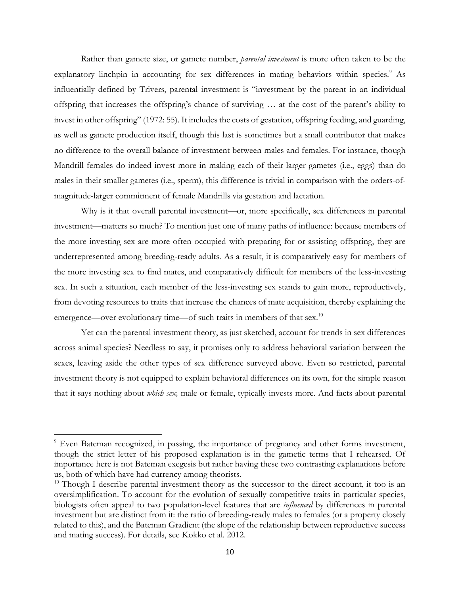Rather than gamete size, or gamete number, *parental investment* is more often taken to be the explanatory linchpin in accounting for sex differences in mating behaviors within species.<sup>9</sup> As influentially defined by Trivers, parental investment is "investment by the parent in an individual offspring that increases the offspring's chance of surviving … at the cost of the parent's ability to invest in other offspring" (1972: 55). It includes the costs of gestation, offspring feeding, and guarding, as well as gamete production itself, though this last is sometimes but a small contributor that makes no difference to the overall balance of investment between males and females. For instance, though Mandrill females do indeed invest more in making each of their larger gametes (i.e., eggs) than do males in their smaller gametes (i.e., sperm), this difference is trivial in comparison with the orders-ofmagnitude-larger commitment of female Mandrills via gestation and lactation.

Why is it that overall parental investment—or, more specifically, sex differences in parental investment—matters so much? To mention just one of many paths of influence: because members of the more investing sex are more often occupied with preparing for or assisting offspring, they are underrepresented among breeding-ready adults. As a result, it is comparatively easy for members of the more investing sex to find mates, and comparatively difficult for members of the less-investing sex. In such a situation, each member of the less-investing sex stands to gain more, reproductively, from devoting resources to traits that increase the chances of mate acquisition, thereby explaining the emergence—over evolutionary time—of such traits in members of that sex.<sup>10</sup>

Yet can the parental investment theory, as just sketched, account for trends in sex differences across animal species? Needless to say, it promises only to address behavioral variation between the sexes, leaving aside the other types of sex difference surveyed above. Even so restricted, parental investment theory is not equipped to explain behavioral differences on its own, for the simple reason that it says nothing about *which sex,* male or female, typically invests more. And facts about parental

 $\overline{a}$ 

<sup>&</sup>lt;sup>9</sup> Even Bateman recognized, in passing, the importance of pregnancy and other forms investment, though the strict letter of his proposed explanation is in the gametic terms that I rehearsed. Of importance here is not Bateman exegesis but rather having these two contrasting explanations before us, both of which have had currency among theorists.

 $10$  Though I describe parental investment theory as the successor to the direct account, it too is an oversimplification. To account for the evolution of sexually competitive traits in particular species, biologists often appeal to two population-level features that are *influenced* by differences in parental investment but are distinct from it: the ratio of breeding-ready males to females (or a property closely related to this), and the Bateman Gradient (the slope of the relationship between reproductive success and mating success). For details, see Kokko et al. 2012.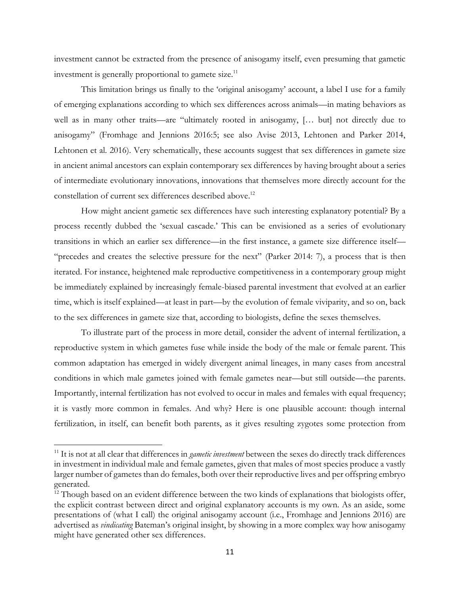investment cannot be extracted from the presence of anisogamy itself, even presuming that gametic investment is generally proportional to gamete size.<sup>11</sup>

This limitation brings us finally to the 'original anisogamy' account, a label I use for a family of emerging explanations according to which sex differences across animals—in mating behaviors as well as in many other traits—are "ultimately rooted in anisogamy, [… but] not directly due to anisogamy" (Fromhage and Jennions 2016:5; see also Avise 2013, Lehtonen and Parker 2014, Lehtonen et al. 2016). Very schematically, these accounts suggest that sex differences in gamete size in ancient animal ancestors can explain contemporary sex differences by having brought about a series of intermediate evolutionary innovations, innovations that themselves more directly account for the constellation of current sex differences described above.<sup>12</sup>

How might ancient gametic sex differences have such interesting explanatory potential? By a process recently dubbed the 'sexual cascade.' This can be envisioned as a series of evolutionary transitions in which an earlier sex difference—in the first instance, a gamete size difference itself— "precedes and creates the selective pressure for the next" (Parker 2014: 7), a process that is then iterated. For instance, heightened male reproductive competitiveness in a contemporary group might be immediately explained by increasingly female-biased parental investment that evolved at an earlier time, which is itself explained—at least in part—by the evolution of female viviparity, and so on, back to the sex differences in gamete size that, according to biologists, define the sexes themselves.

To illustrate part of the process in more detail, consider the advent of internal fertilization, a reproductive system in which gametes fuse while inside the body of the male or female parent. This common adaptation has emerged in widely divergent animal lineages, in many cases from ancestral conditions in which male gametes joined with female gametes near—but still outside—the parents. Importantly, internal fertilization has not evolved to occur in males and females with equal frequency; it is vastly more common in females. And why? Here is one plausible account: though internal fertilization, in itself, can benefit both parents, as it gives resulting zygotes some protection from

<sup>&</sup>lt;sup>11</sup> It is not at all clear that differences in *gametic investment* between the sexes do directly track differences in investment in individual male and female gametes, given that males of most species produce a vastly larger number of gametes than do females, both over their reproductive lives and per offspring embryo generated.

<sup>&</sup>lt;sup>12</sup> Though based on an evident difference between the two kinds of explanations that biologists offer, the explicit contrast between direct and original explanatory accounts is my own. As an aside, some presentations of (what I call) the original anisogamy account (i.e., Fromhage and Jennions 2016) are advertised as *vindicating* Bateman's original insight, by showing in a more complex way how anisogamy might have generated other sex differences.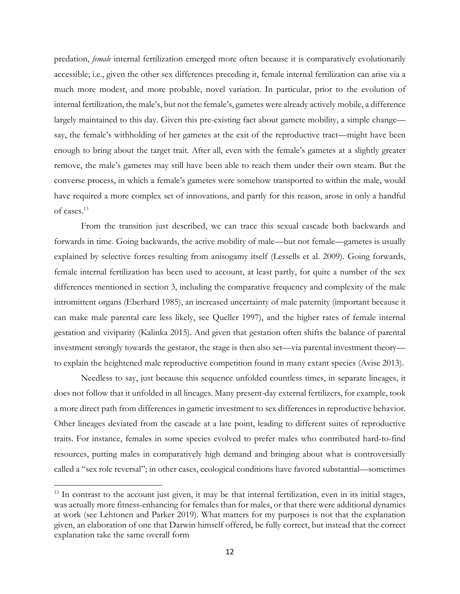predation, *female* internal fertilization emerged more often because it is comparatively evolutionarily accessible; i.e., given the other sex differences preceding it, female internal fertilization can arise via a much more modest, and more probable, novel variation. In particular, prior to the evolution of internal fertilization, the male's, but not the female's, gametes were already actively mobile, a difference largely maintained to this day. Given this pre-existing fact about gamete mobility, a simple change say, the female's withholding of her gametes at the exit of the reproductive tract—might have been enough to bring about the target trait. After all, even with the female's gametes at a slightly greater remove, the male's gametes may still have been able to reach them under their own steam. But the converse process, in which a female's gametes were somehow transported to within the male, would have required a more complex set of innovations, and partly for this reason, arose in only a handful of cases.<sup>13</sup>

From the transition just described, we can trace this sexual cascade both backwards and forwards in time. Going backwards, the active mobility of male—but not female—gametes is usually explained by selective forces resulting from anisogamy itself (Lessells et al. 2009). Going forwards, female internal fertilization has been used to account, at least partly, for quite a number of the sex differences mentioned in section 3, including the comparative frequency and complexity of the male intromittent organs (Eberhard 1985), an increased uncertainty of male paternity (important because it can make male parental care less likely, see Queller 1997), and the higher rates of female internal gestation and viviparity (Kalinka 2015). And given that gestation often shifts the balance of parental investment strongly towards the gestator, the stage is then also set—via parental investment theory to explain the heightened male reproductive competition found in many extant species (Avise 2013).

Needless to say, just because this sequence unfolded countless times, in separate lineages, it does not follow that it unfolded in all lineages. Many present-day external fertilizers, for example, took a more direct path from differences in gametic investment to sex differences in reproductive behavior. Other lineages deviated from the cascade at a late point, leading to different suites of reproductive traits. For instance, females in some species evolved to prefer males who contributed hard-to-find resources, putting males in comparatively high demand and bringing about what is controversially called a "sex role reversal"; in other cases, ecological conditions have favored substantial—sometimes

 $\overline{\phantom{a}}$ 

<sup>&</sup>lt;sup>13</sup> In contrast to the account just given, it may be that internal fertilization, even in its initial stages, was actually more fitness-enhancing for females than for males, or that there were additional dynamics at work (see Lehtonen and Parker 2019). What matters for my purposes is not that the explanation given, an elaboration of one that Darwin himself offered, be fully correct, but instead that the correct explanation take the same overall form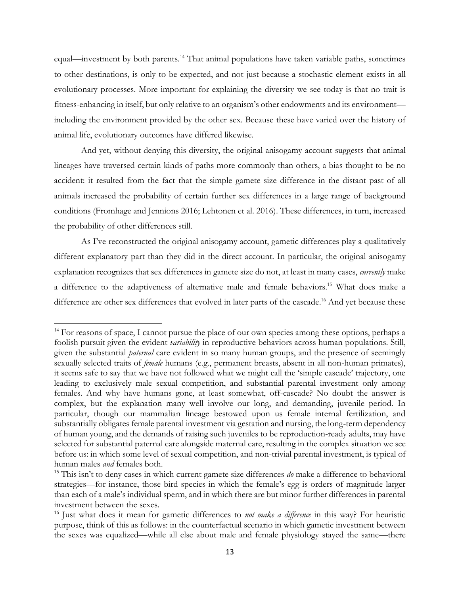equal—investment by both parents.<sup>14</sup> That animal populations have taken variable paths, sometimes to other destinations, is only to be expected, and not just because a stochastic element exists in all evolutionary processes. More important for explaining the diversity we see today is that no trait is fitness-enhancing in itself, but only relative to an organism's other endowments and its environment including the environment provided by the other sex. Because these have varied over the history of animal life, evolutionary outcomes have differed likewise.

And yet, without denying this diversity, the original anisogamy account suggests that animal lineages have traversed certain kinds of paths more commonly than others, a bias thought to be no accident: it resulted from the fact that the simple gamete size difference in the distant past of all animals increased the probability of certain further sex differences in a large range of background conditions (Fromhage and Jennions 2016; Lehtonen et al. 2016). These differences, in turn, increased the probability of other differences still.

As I've reconstructed the original anisogamy account, gametic differences play a qualitatively different explanatory part than they did in the direct account. In particular, the original anisogamy explanation recognizes that sex differences in gamete size do not, at least in many cases, *currently* make a difference to the adaptiveness of alternative male and female behaviors. <sup>15</sup> What does make a difference are other sex differences that evolved in later parts of the cascade.<sup>16</sup> And yet because these

<sup>&</sup>lt;sup>14</sup> For reasons of space, I cannot pursue the place of our own species among these options, perhaps a foolish pursuit given the evident *variability* in reproductive behaviors across human populations. Still, given the substantial *paternal* care evident in so many human groups, and the presence of seemingly sexually selected traits of *female* humans (e.g., permanent breasts, absent in all non-human primates), it seems safe to say that we have not followed what we might call the 'simple cascade' trajectory, one leading to exclusively male sexual competition, and substantial parental investment only among females. And why have humans gone, at least somewhat, off-cascade? No doubt the answer is complex, but the explanation many well involve our long, and demanding, juvenile period. In particular, though our mammalian lineage bestowed upon us female internal fertilization, and substantially obligates female parental investment via gestation and nursing, the long-term dependency of human young, and the demands of raising such juveniles to be reproduction-ready adults, may have selected for substantial paternal care alongside maternal care, resulting in the complex situation we see before us: in which some level of sexual competition, and non-trivial parental investment, is typical of human males *and* females both.

<sup>15</sup> This isn't to deny cases in which current gamete size differences *do* make a difference to behavioral strategies—for instance, those bird species in which the female's egg is orders of magnitude larger than each of a male's individual sperm, and in which there are but minor further differences in parental investment between the sexes.

<sup>16</sup> Just what does it mean for gametic differences to *not make a difference* in this way? For heuristic purpose, think of this as follows: in the counterfactual scenario in which gametic investment between the sexes was equalized—while all else about male and female physiology stayed the same—there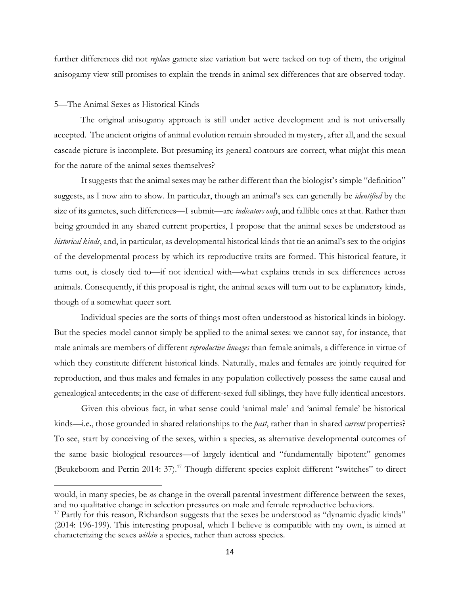further differences did not *replace* gamete size variation but were tacked on top of them, the original anisogamy view still promises to explain the trends in animal sex differences that are observed today.

# 5—The Animal Sexes as Historical Kinds

 $\overline{\phantom{a}}$ 

The original anisogamy approach is still under active development and is not universally accepted. The ancient origins of animal evolution remain shrouded in mystery, after all, and the sexual cascade picture is incomplete. But presuming its general contours are correct, what might this mean for the nature of the animal sexes themselves?

It suggests that the animal sexes may be rather different than the biologist's simple "definition" suggests, as I now aim to show. In particular, though an animal's sex can generally be *identified* by the size of its gametes, such differences—I submit—are *indicators only*, and fallible ones at that. Rather than being grounded in any shared current properties, I propose that the animal sexes be understood as *historical kinds*, and, in particular, as developmental historical kinds that tie an animal's sex to the origins of the developmental process by which its reproductive traits are formed. This historical feature, it turns out, is closely tied to—if not identical with—what explains trends in sex differences across animals. Consequently, if this proposal is right, the animal sexes will turn out to be explanatory kinds, though of a somewhat queer sort.

Individual species are the sorts of things most often understood as historical kinds in biology. But the species model cannot simply be applied to the animal sexes: we cannot say, for instance, that male animals are members of different *reproductive lineages* than female animals, a difference in virtue of which they constitute different historical kinds. Naturally, males and females are jointly required for reproduction, and thus males and females in any population collectively possess the same causal and genealogical antecedents; in the case of different-sexed full siblings, they have fully identical ancestors.

Given this obvious fact, in what sense could 'animal male' and 'animal female' be historical kinds—i.e., those grounded in shared relationships to the *past*, rather than in shared *current* properties? To see, start by conceiving of the sexes, within a species, as alternative developmental outcomes of the same basic biological resources—of largely identical and "fundamentally bipotent" genomes (Beukeboom and Perrin 2014: 37). <sup>17</sup> Though different species exploit different "switches" to direct

would, in many species, be *no* change in the overall parental investment difference between the sexes, and no qualitative change in selection pressures on male and female reproductive behaviors.

<sup>&</sup>lt;sup>17</sup> Partly for this reason, Richardson suggests that the sexes be understood as "dynamic dyadic kinds" (2014: 196-199). This interesting proposal, which I believe is compatible with my own, is aimed at characterizing the sexes *within* a species, rather than across species.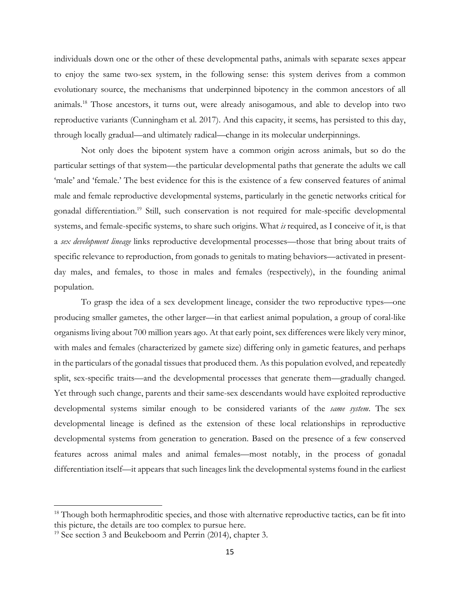individuals down one or the other of these developmental paths, animals with separate sexes appear to enjoy the same two-sex system, in the following sense: this system derives from a common evolutionary source, the mechanisms that underpinned bipotency in the common ancestors of all animals.<sup>18</sup> Those ancestors, it turns out, were already anisogamous, and able to develop into two reproductive variants (Cunningham et al. 2017). And this capacity, it seems, has persisted to this day, through locally gradual—and ultimately radical—change in its molecular underpinnings.

Not only does the bipotent system have a common origin across animals, but so do the particular settings of that system—the particular developmental paths that generate the adults we call 'male' and 'female.' The best evidence for this is the existence of a few conserved features of animal male and female reproductive developmental systems, particularly in the genetic networks critical for gonadal differentiation. <sup>19</sup> Still, such conservation is not required for male-specific developmental systems, and female-specific systems, to share such origins. What *is* required, as I conceive of it, is that a *sex development lineage* links reproductive developmental processes—those that bring about traits of specific relevance to reproduction, from gonads to genitals to mating behaviors—activated in presentday males, and females, to those in males and females (respectively), in the founding animal population.

To grasp the idea of a sex development lineage, consider the two reproductive types—one producing smaller gametes, the other larger—in that earliest animal population, a group of coral-like organisms living about 700 million years ago. At that early point, sex differences were likely very minor, with males and females (characterized by gamete size) differing only in gametic features, and perhaps in the particulars of the gonadal tissues that produced them. As this population evolved, and repeatedly split, sex-specific traits—and the developmental processes that generate them—gradually changed. Yet through such change, parents and their same-sex descendants would have exploited reproductive developmental systems similar enough to be considered variants of the *same system*. The sex developmental lineage is defined as the extension of these local relationships in reproductive developmental systems from generation to generation. Based on the presence of a few conserved features across animal males and animal females—most notably, in the process of gonadal differentiation itself—it appears that such lineages link the developmental systems found in the earliest

 $\overline{\phantom{a}}$ 

<sup>&</sup>lt;sup>18</sup> Though both hermaphroditic species, and those with alternative reproductive tactics, can be fit into this picture, the details are too complex to pursue here.

<sup>&</sup>lt;sup>19</sup> See section 3 and Beukeboom and Perrin (2014), chapter 3.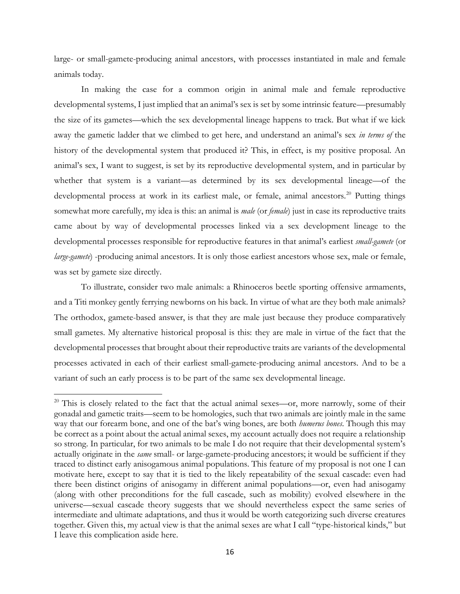large- or small-gamete-producing animal ancestors, with processes instantiated in male and female animals today.

In making the case for a common origin in animal male and female reproductive developmental systems, I just implied that an animal's sex is set by some intrinsic feature—presumably the size of its gametes—which the sex developmental lineage happens to track. But what if we kick away the gametic ladder that we climbed to get here, and understand an animal's sex *in terms of* the history of the developmental system that produced it? This, in effect, is my positive proposal. An animal's sex, I want to suggest, is set by its reproductive developmental system, and in particular by whether that system is a variant—as determined by its sex developmental lineage—of the developmental process at work in its earliest male, or female, animal ancestors.<sup>20</sup> Putting things somewhat more carefully, my idea is this: an animal is *male* (or *female*) just in case its reproductive traits came about by way of developmental processes linked via a sex development lineage to the developmental processes responsible for reproductive features in that animal's earliest *small-gamete* (or *large-gamete*) -producing animal ancestors. It is only those earliest ancestors whose sex, male or female, was set by gamete size directly.

To illustrate, consider two male animals: a Rhinoceros beetle sporting offensive armaments, and a Titi monkey gently ferrying newborns on his back. In virtue of what are they both male animals? The orthodox, gamete-based answer, is that they are male just because they produce comparatively small gametes. My alternative historical proposal is this: they are male in virtue of the fact that the developmental processes that brought about their reproductive traits are variants of the developmental processes activated in each of their earliest small-gamete-producing animal ancestors. And to be a variant of such an early process is to be part of the same sex developmental lineage.

 $\overline{a}$ 

 $20$  This is closely related to the fact that the actual animal sexes—or, more narrowly, some of their gonadal and gametic traits—seem to be homologies, such that two animals are jointly male in the same way that our forearm bone, and one of the bat's wing bones, are both *humerus bones*. Though this may be correct as a point about the actual animal sexes, my account actually does not require a relationship so strong. In particular, for two animals to be male I do not require that their developmental system's actually originate in the *same* small- or large-gamete-producing ancestors; it would be sufficient if they traced to distinct early anisogamous animal populations. This feature of my proposal is not one I can motivate here, except to say that it is tied to the likely repeatability of the sexual cascade: even had there been distinct origins of anisogamy in different animal populations—or, even had anisogamy (along with other preconditions for the full cascade, such as mobility) evolved elsewhere in the universe—sexual cascade theory suggests that we should nevertheless expect the same series of intermediate and ultimate adaptations, and thus it would be worth categorizing such diverse creatures together. Given this, my actual view is that the animal sexes are what I call "type-historical kinds," but I leave this complication aside here.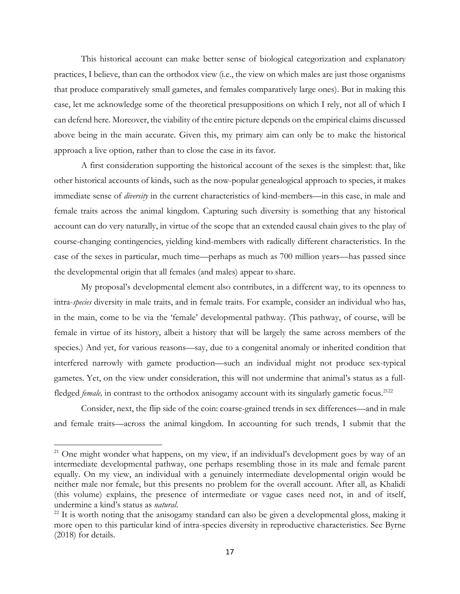This historical account can make better sense of biological categorization and explanatory practices, I believe, than can the orthodox view (i.e., the view on which males are just those organisms that produce comparatively small gametes, and females comparatively large ones). But in making this case, let me acknowledge some of the theoretical presuppositions on which I rely, not all of which I can defend here. Moreover, the viability of the entire picture depends on the empirical claims discussed above being in the main accurate. Given this, my primary aim can only be to make the historical approach a live option, rather than to close the case in its favor.

A first consideration supporting the historical account of the sexes is the simplest: that, like other historical accounts of kinds, such as the now-popular genealogical approach to species, it makes immediate sense of *diversity* in the current characteristics of kind-members—in this case, in male and female traits across the animal kingdom. Capturing such diversity is something that any historical account can do very naturally, in virtue of the scope that an extended causal chain gives to the play of course-changing contingencies, yielding kind-members with radically different characteristics. In the case of the sexes in particular, much time—perhaps as much as 700 million years—has passed since the developmental origin that all females (and males) appear to share.

My proposal's developmental element also contributes, in a different way, to its openness to intra-*species* diversity in male traits, and in female traits. For example, consider an individual who has, in the main, come to be via the 'female' developmental pathway. (This pathway, of course, will be female in virtue of its history, albeit a history that will be largely the same across members of the species.) And yet, for various reasons—say, due to a congenital anomaly or inherited condition that interfered narrowly with gamete production—such an individual might not produce sex-typical gametes. Yet, on the view under consideration, this will not undermine that animal's status as a fullfledged *female*, in contrast to the orthodox anisogamy account with its singularly gametic focus.<sup>2122</sup>

Consider, next, the flip side of the coin: coarse-grained trends in sex differences—and in male and female traits—across the animal kingdom. In accounting for such trends, I submit that the

<sup>&</sup>lt;sup>21</sup> One might wonder what happens, on my view, if an individual's development goes by way of an intermediate developmental pathway, one perhaps resembling those in its male and female parent equally. On my view, an individual with a genuinely intermediate developmental origin would be neither male nor female, but this presents no problem for the overall account. After all, as Khalidi (this volume) explains, the presence of intermediate or vague cases need not, in and of itself, undermine a kind's status as *natural*.

 $22$  It is worth noting that the anisogamy standard can also be given a developmental gloss, making it more open to this particular kind of intra-species diversity in reproductive characteristics. See Byrne (2018) for details.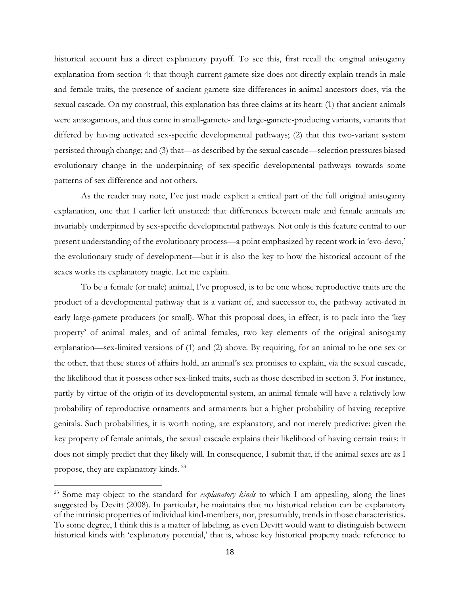historical account has a direct explanatory payoff. To see this, first recall the original anisogamy explanation from section 4: that though current gamete size does not directly explain trends in male and female traits, the presence of ancient gamete size differences in animal ancestors does, via the sexual cascade. On my construal, this explanation has three claims at its heart: (1) that ancient animals were anisogamous, and thus came in small-gamete- and large-gamete-producing variants, variants that differed by having activated sex-specific developmental pathways; (2) that this two-variant system persisted through change; and (3) that—as described by the sexual cascade—selection pressures biased evolutionary change in the underpinning of sex-specific developmental pathways towards some patterns of sex difference and not others.

As the reader may note, I've just made explicit a critical part of the full original anisogamy explanation, one that I earlier left unstated: that differences between male and female animals are invariably underpinned by sex-specific developmental pathways. Not only is this feature central to our present understanding of the evolutionary process—a point emphasized by recent work in 'evo-devo,' the evolutionary study of development—but it is also the key to how the historical account of the sexes works its explanatory magic. Let me explain.

To be a female (or male) animal, I've proposed, is to be one whose reproductive traits are the product of a developmental pathway that is a variant of, and successor to, the pathway activated in early large-gamete producers (or small). What this proposal does, in effect, is to pack into the 'key property' of animal males, and of animal females, two key elements of the original anisogamy explanation—sex-limited versions of (1) and (2) above. By requiring, for an animal to be one sex or the other, that these states of affairs hold, an animal's sex promises to explain, via the sexual cascade, the likelihood that it possess other sex-linked traits, such as those described in section 3. For instance, partly by virtue of the origin of its developmental system, an animal female will have a relatively low probability of reproductive ornaments and armaments but a higher probability of having receptive genitals. Such probabilities, it is worth noting, are explanatory, and not merely predictive: given the key property of female animals, the sexual cascade explains their likelihood of having certain traits; it does not simply predict that they likely will. In consequence, I submit that, if the animal sexes are as I propose, they are explanatory kinds. <sup>23</sup>

 $\overline{\phantom{a}}$ 

<sup>&</sup>lt;sup>23</sup> Some may object to the standard for *explanatory kinds* to which I am appealing, along the lines suggested by Devitt (2008). In particular, he maintains that no historical relation can be explanatory of the intrinsic properties of individual kind-members, nor, presumably, trends in those characteristics. To some degree, I think this is a matter of labeling, as even Devitt would want to distinguish between historical kinds with 'explanatory potential,' that is, whose key historical property made reference to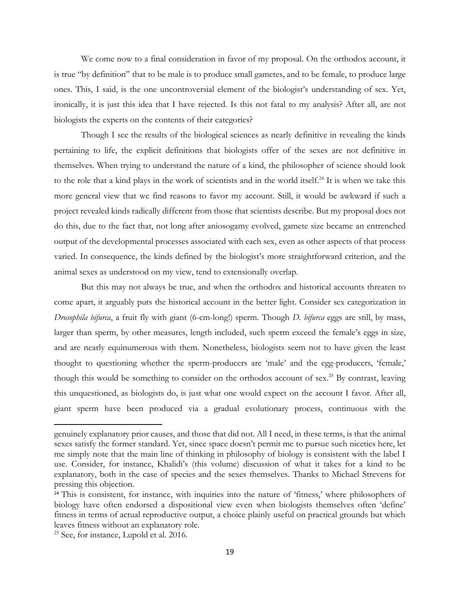We come now to a final consideration in favor of my proposal. On the orthodox account, it is true "by definition" that to be male is to produce small gametes, and to be female, to produce large ones. This, I said, is the one uncontroversial element of the biologist's understanding of sex. Yet, ironically, it is just this idea that I have rejected. Is this not fatal to my analysis? After all, are not biologists the experts on the contents of their categories?

Though I see the results of the biological sciences as nearly definitive in revealing the kinds pertaining to life, the explicit definitions that biologists offer of the sexes are not definitive in themselves. When trying to understand the nature of a kind, the philosopher of science should look to the role that a kind plays in the work of scientists and in the world itself.<sup>24</sup> It is when we take this more general view that we find reasons to favor my account. Still, it would be awkward if such a project revealed kinds radically different from those that scientists describe. But my proposal does not do this, due to the fact that, not long after aniosogamy evolved, gamete size became an entrenched output of the developmental processes associated with each sex, even as other aspects of that process varied. In consequence, the kinds defined by the biologist's more straightforward criterion, and the animal sexes as understood on my view, tend to extensionally overlap.

But this may not always be true, and when the orthodox and historical accounts threaten to come apart, it arguably puts the historical account in the better light. Consider sex categorization in *Drosophila bifurca*, a fruit fly with giant (6-cm-long!) sperm. Though *D. bifurca* eggs are still, by mass, larger than sperm, by other measures, length included, such sperm exceed the female's eggs in size, and are nearly equinumerous with them. Nonetheless, biologists seem not to have given the least thought to questioning whether the sperm-producers are 'male' and the egg-producers, 'female,' though this would be something to consider on the orthodox account of sex. <sup>25</sup> By contrast, leaving this unquestioned, as biologists do, is just what one would expect on the account I favor. After all, giant sperm have been produced via a gradual evolutionary process, continuous with the

genuinely explanatory prior causes, and those that did not. All I need, in these terms, is that the animal sexes satisfy the former standard. Yet, since space doesn't permit me to pursue such niceties here, let me simply note that the main line of thinking in philosophy of biology is consistent with the label I use. Consider, for instance, Khalidi's (this volume) discussion of what it takes for a kind to be explanatory, both in the case of species and the sexes themselves. Thanks to Michael Strevens for pressing this objection.

<sup>&</sup>lt;sup>24</sup> This is consistent, for instance, with inquiries into the nature of 'fitness,' where philosophers of biology have often endorsed a dispositional view even when biologists themselves often 'define' fitness in terms of actual reproductive output, a choice plainly useful on practical grounds but which leaves fitness without an explanatory role.

<sup>&</sup>lt;sup>25</sup> See, for instance, Lupold et al. 2016.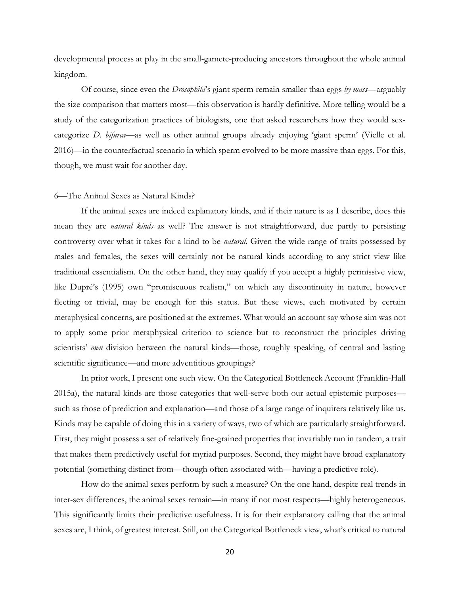developmental process at play in the small-gamete-producing ancestors throughout the whole animal kingdom.

Of course, since even the *Drosophila*'s giant sperm remain smaller than eggs *by mass*—arguably the size comparison that matters most—this observation is hardly definitive. More telling would be a study of the categorization practices of biologists, one that asked researchers how they would sexcategorize *D. bifurca*—as well as other animal groups already enjoying 'giant sperm' (Vielle et al. 2016)—in the counterfactual scenario in which sperm evolved to be more massive than eggs. For this, though, we must wait for another day.

#### 6—The Animal Sexes as Natural Kinds?

If the animal sexes are indeed explanatory kinds, and if their nature is as I describe, does this mean they are *natural kinds* as well? The answer is not straightforward, due partly to persisting controversy over what it takes for a kind to be *natural*. Given the wide range of traits possessed by males and females, the sexes will certainly not be natural kinds according to any strict view like traditional essentialism. On the other hand, they may qualify if you accept a highly permissive view, like Dupré's (1995) own "promiscuous realism," on which any discontinuity in nature, however fleeting or trivial, may be enough for this status. But these views, each motivated by certain metaphysical concerns, are positioned at the extremes. What would an account say whose aim was not to apply some prior metaphysical criterion to science but to reconstruct the principles driving scientists' *own* division between the natural kinds—those, roughly speaking, of central and lasting scientific significance—and more adventitious groupings?

In prior work, I present one such view. On the Categorical Bottleneck Account (Franklin-Hall 2015a), the natural kinds are those categories that well-serve both our actual epistemic purposes such as those of prediction and explanation—and those of a large range of inquirers relatively like us. Kinds may be capable of doing this in a variety of ways, two of which are particularly straightforward. First, they might possess a set of relatively fine-grained properties that invariably run in tandem, a trait that makes them predictively useful for myriad purposes. Second, they might have broad explanatory potential (something distinct from—though often associated with—having a predictive role).

How do the animal sexes perform by such a measure? On the one hand, despite real trends in inter-sex differences, the animal sexes remain—in many if not most respects—highly heterogeneous. This significantly limits their predictive usefulness. It is for their explanatory calling that the animal sexes are, I think, of greatest interest. Still, on the Categorical Bottleneck view, what's critical to natural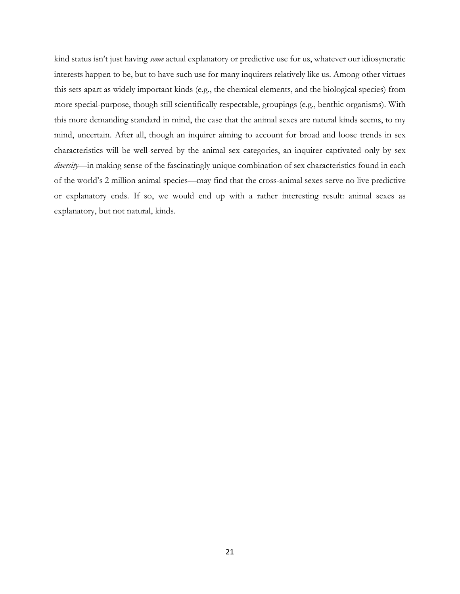kind status isn't just having *some* actual explanatory or predictive use for us, whatever our idiosyncratic interests happen to be, but to have such use for many inquirers relatively like us. Among other virtues this sets apart as widely important kinds (e.g., the chemical elements, and the biological species) from more special-purpose, though still scientifically respectable, groupings (e.g., benthic organisms). With this more demanding standard in mind, the case that the animal sexes are natural kinds seems, to my mind, uncertain. After all, though an inquirer aiming to account for broad and loose trends in sex characteristics will be well-served by the animal sex categories, an inquirer captivated only by sex *diversity*—in making sense of the fascinatingly unique combination of sex characteristics found in each of the world's 2 million animal species—may find that the cross-animal sexes serve no live predictive or explanatory ends. If so, we would end up with a rather interesting result: animal sexes as explanatory, but not natural, kinds.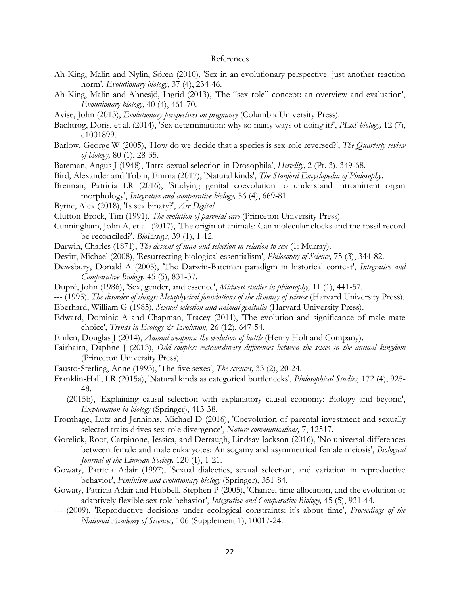### References

- Ah-King, Malin and Nylin, Sören (2010), 'Sex in an evolutionary perspective: just another reaction norm', *Evolutionary biology,* 37 (4), 234-46.
- Ah-King, Malin and Ahnesjö, Ingrid (2013), 'The "sex role" concept: an overview and evaluation', *Evolutionary biology,* 40 (4), 461-70.
- Avise, John (2013), *Evolutionary perspectives on pregnancy* (Columbia University Press).
- Bachtrog, Doris, et al. (2014), 'Sex determination: why so many ways of doing it?', *PLoS biology,* 12 (7), e1001899.
- Barlow, George W (2005), 'How do we decide that a species is sex-role reversed?', *The Quarterly review of biology,* 80 (1), 28-35.
- Bateman, Angus J (1948), 'Intra-sexual selection in Drosophila', *Heredity,* 2 (Pt. 3), 349-68.
- Bird, Alexander and Tobin, Emma (2017), 'Natural kinds', *The Stanford Encyclopedia of Philosophy*.
- Brennan, Patricia LR (2016), 'Studying genital coevolution to understand intromittent organ morphology', *Integrative and comparative biology,* 56 (4), 669-81.
- Byrne, Alex (2018), 'Is sex binary?', *Arc Digital*.
- Clutton-Brock, Tim (1991), *The evolution of parental care* (Princeton University Press).
- Cunningham, John A, et al. (2017), 'The origin of animals: Can molecular clocks and the fossil record be reconciled?', *BioEssays,* 39 (1), 1-12.
- Darwin, Charles (1871), *The descent of man and selection in relation to sex* (1: Murray).
- Devitt, Michael (2008), 'Resurrecting biological essentialism', *Philosophy of Science,* 75 (3), 344-82.
- Dewsbury, Donald A (2005), 'The Darwin-Bateman paradigm in historical context', *Integrative and Comparative Biology,* 45 (5), 831-37.
- Dupré, John (1986), 'Sex, gender, and essence', *Midwest studies in philosophy,* 11 (1), 441-57.
- --- (1995), *The disorder of things: Metaphysical foundations of the disunity of science* (Harvard University Press).
- Eberhard, William G (1985), *Sexual selection and animal genitalia* (Harvard University Press).
- Edward, Dominic A and Chapman, Tracey (2011), 'The evolution and significance of male mate choice', *Trends in Ecology & Evolution,* 26 (12), 647-54.
- Emlen, Douglas J (2014), *Animal weapons: the evolution of battle* (Henry Holt and Company).
- Fairbairn, Daphne J (2013), *Odd couples: extraordinary differences between the sexes in the animal kingdom* (Princeton University Press).
- Fausto‐Sterling, Anne (1993), 'The five sexes', *The sciences,* 33 (2), 20-24.
- Franklin-Hall, LR (2015a), 'Natural kinds as categorical bottlenecks', *Philosophical Studies,* 172 (4), 925- 48.
- --- (2015b), 'Explaining causal selection with explanatory causal economy: Biology and beyond', *Explanation in biology* (Springer), 413-38.
- Fromhage, Lutz and Jennions, Michael D (2016), 'Coevolution of parental investment and sexually selected traits drives sex-role divergence', *Nature communications,* 7, 12517.
- Gorelick, Root, Carpinone, Jessica, and Derraugh, Lindsay Jackson (2016), 'No universal differences between female and male eukaryotes: Anisogamy and asymmetrical female meiosis', *Biological Journal of the Linnean Society,* 120 (1), 1-21.
- Gowaty, Patricia Adair (1997), 'Sexual dialectics, sexual selection, and variation in reproductive behavior', *Feminism and evolutionary biology* (Springer), 351-84.
- Gowaty, Patricia Adair and Hubbell, Stephen P (2005), 'Chance, time allocation, and the evolution of adaptively flexible sex role behavior', *Integrative and Comparative Biology,* 45 (5), 931-44.
- --- (2009), 'Reproductive decisions under ecological constraints: it's about time', *Proceedings of the National Academy of Sciences,* 106 (Supplement 1), 10017-24.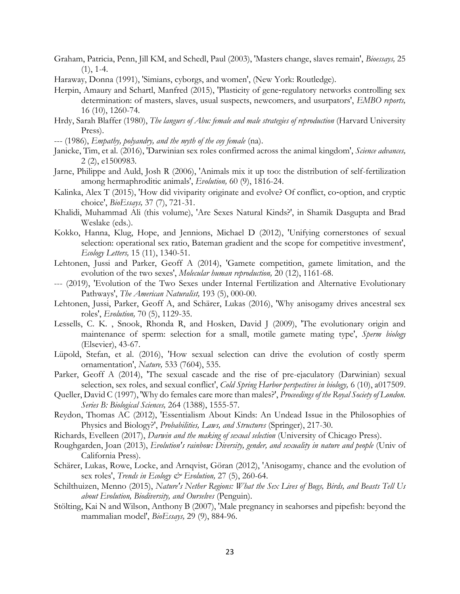- Graham, Patricia, Penn, Jill KM, and Schedl, Paul (2003), 'Masters change, slaves remain', *Bioessays,* 25  $(1), 1-4.$
- Haraway, Donna (1991), 'Simians, cyborgs, and women', (New York: Routledge).
- Herpin, Amaury and Schartl, Manfred (2015), 'Plasticity of gene-regulatory networks controlling sex determination: of masters, slaves, usual suspects, newcomers, and usurpators', *EMBO reports,* 16 (10), 1260-74.
- Hrdy, Sarah Blaffer (1980), *The langurs of Abu: female and male strategies of reproduction* (Harvard University Press).
- --- (1986), *Empathy, polyandry, and the myth of the coy female* (na).
- Janicke, Tim, et al. (2016), 'Darwinian sex roles confirmed across the animal kingdom', *Science advances,* 2 (2), e1500983.
- Jarne, Philippe and Auld, Josh R (2006), 'Animals mix it up too: the distribution of self-fertilization among hermaphroditic animals', *Evolution,* 60 (9), 1816-24.
- Kalinka, Alex T (2015), 'How did viviparity originate and evolve? Of conflict, co-option, and cryptic choice', *BioEssays,* 37 (7), 721-31.
- Khalidi, Muhammad Ali (this volume), 'Are Sexes Natural Kinds?', in Shamik Dasgupta and Brad Weslake (eds.).
- Kokko, Hanna, Klug, Hope, and Jennions, Michael D (2012), 'Unifying cornerstones of sexual selection: operational sex ratio, Bateman gradient and the scope for competitive investment', *Ecology Letters,* 15 (11), 1340-51.
- Lehtonen, Jussi and Parker, Geoff A (2014), 'Gamete competition, gamete limitation, and the evolution of the two sexes', *Molecular human reproduction,* 20 (12), 1161-68.
- --- (2019), 'Evolution of the Two Sexes under Internal Fertilization and Alternative Evolutionary Pathways', *The American Naturalist,* 193 (5), 000-00.
- Lehtonen, Jussi, Parker, Geoff A, and Schärer, Lukas (2016), 'Why anisogamy drives ancestral sex roles', *Evolution,* 70 (5), 1129-35.
- Lessells, C. K. , Snook, Rhonda R, and Hosken, David J (2009), 'The evolutionary origin and maintenance of sperm: selection for a small, motile gamete mating type', *Sperm biology* (Elsevier), 43-67.
- Lüpold, Stefan, et al. (2016), 'How sexual selection can drive the evolution of costly sperm ornamentation', *Nature,* 533 (7604), 535.
- Parker, Geoff A (2014), 'The sexual cascade and the rise of pre-ejaculatory (Darwinian) sexual selection, sex roles, and sexual conflict', *Cold Spring Harbor perspectives in biology,* 6 (10), a017509.
- Queller, David C (1997), 'Why do females care more than males?', *Proceedings of the Royal Society of London. Series B: Biological Sciences,* 264 (1388), 1555-57.
- Reydon, Thomas AC (2012), 'Essentialism About Kinds: An Undead Issue in the Philosophies of Physics and Biology?', *Probabilities, Laws, and Structures* (Springer), 217-30.
- Richards, Evelleen (2017), *Darwin and the making of sexual selection* (University of Chicago Press).
- Roughgarden, Joan (2013), *Evolution's rainbow: Diversity, gender, and sexuality in nature and people* (Univ of California Press).
- Schärer, Lukas, Rowe, Locke, and Arnqvist, Göran (2012), 'Anisogamy, chance and the evolution of sex roles', *Trends in Ecology & Evolution,* 27 (5), 260-64.
- Schilthuizen, Menno (2015), *Nature's Nether Regions: What the Sex Lives of Bugs, Birds, and Beasts Tell Us about Evolution, Biodiversity, and Ourselves* (Penguin).
- Stölting, Kai N and Wilson, Anthony B (2007), 'Male pregnancy in seahorses and pipefish: beyond the mammalian model', *BioEssays,* 29 (9), 884-96.